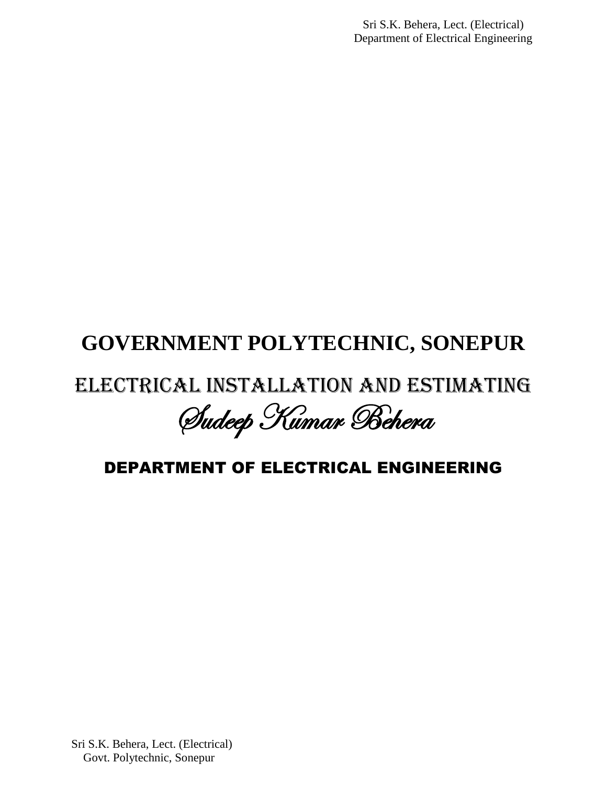Sri S.K. Behera, Lect. (Electrical) Department of Electrical Engineering

# **GOVERNMENT POLYTECHNIC, SONEPUR**

# Electrical Installation And Estimating

Sudeep Kumar Behera

# DEPARTMENT OF ELECTRICAL ENGINEERING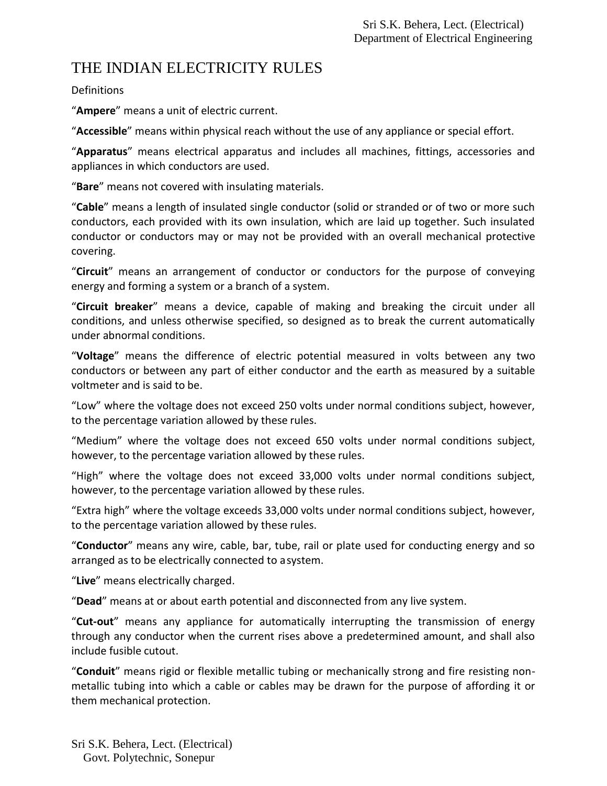## THE INDIAN ELECTRICITY RULES

**Definitions** 

"**Ampere**" means a unit of electric current.

"**Accessible**" means within physical reach without the use of any appliance or special effort.

"**Apparatus**" means electrical apparatus and includes all machines, fittings, accessories and appliances in which conductors are used.

"**Bare**" means not covered with insulating materials.

"**Cable**" means a length of insulated single conductor (solid or stranded or of two or more such conductors, each provided with its own insulation, which are laid up together. Such insulated conductor or conductors may or may not be provided with an overall mechanical protective covering.

"**Circuit**" means an arrangement of conductor or conductors for the purpose of conveying energy and forming a system or a branch of a system.

"**Circuit breaker**" means a device, capable of making and breaking the circuit under all conditions, and unless otherwise specified, so designed as to break the current automatically under abnormal conditions.

"**Voltage**" means the difference of electric potential measured in volts between any two conductors or between any part of either conductor and the earth as measured by a suitable voltmeter and is said to be.

"Low" where the voltage does not exceed 250 volts under normal conditions subject, however, to the percentage variation allowed by these rules.

"Medium" where the voltage does not exceed 650 volts under normal conditions subject, however, to the percentage variation allowed by these rules.

"High" where the voltage does not exceed 33,000 volts under normal conditions subject, however, to the percentage variation allowed by these rules.

"Extra high" where the voltage exceeds 33,000 volts under normal conditions subject, however, to the percentage variation allowed by these rules.

"**Conductor**" means any wire, cable, bar, tube, rail or plate used for conducting energy and so arranged as to be electrically connected to asystem.

"**Live**" means electrically charged.

"**Dead**" means at or about earth potential and disconnected from any live system.

"**Cut-out**" means any appliance for automatically interrupting the transmission of energy through any conductor when the current rises above a predetermined amount, and shall also include fusible cutout.

"**Conduit**" means rigid or flexible metallic tubing or mechanically strong and fire resisting nonmetallic tubing into which a cable or cables may be drawn for the purpose of affording it or them mechanical protection.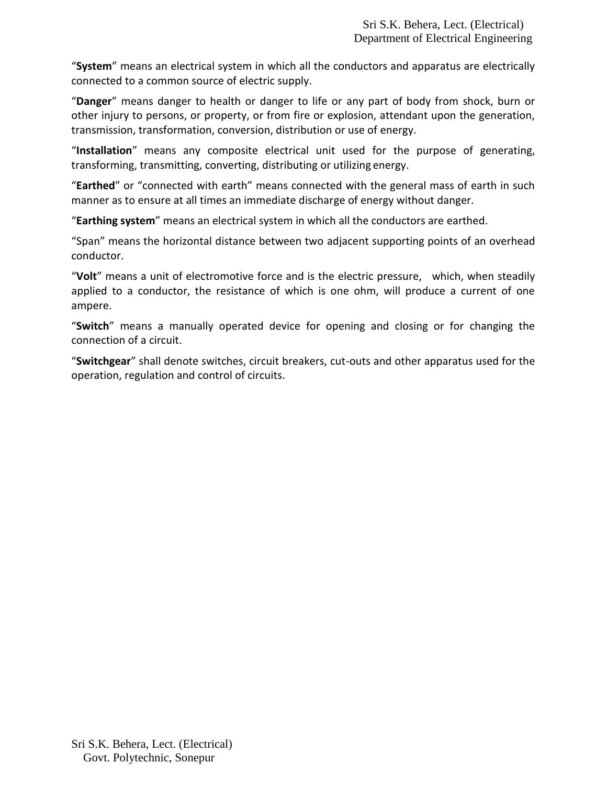"**System**" means an electrical system in which all the conductors and apparatus are electrically connected to a common source of electric supply.

"**Danger**" means danger to health or danger to life or any part of body from shock, burn or other injury to persons, or property, or from fire or explosion, attendant upon the generation, transmission, transformation, conversion, distribution or use of energy.

"**Installation**" means any composite electrical unit used for the purpose of generating, transforming, transmitting, converting, distributing or utilizing energy.

"**Earthed**" or "connected with earth" means connected with the general mass of earth in such manner as to ensure at all times an immediate discharge of energy without danger.

"**Earthing system**" means an electrical system in which all the conductors are earthed.

"Span" means the horizontal distance between two adjacent supporting points of an overhead conductor.

"**Volt**" means a unit of electromotive force and is the electric pressure, which, when steadily applied to a conductor, the resistance of which is one ohm, will produce a current of one ampere.

"**Switch**" means a manually operated device for opening and closing or for changing the connection of a circuit.

"**Switchgear**" shall denote switches, circuit breakers, cut-outs and other apparatus used for the operation, regulation and control of circuits.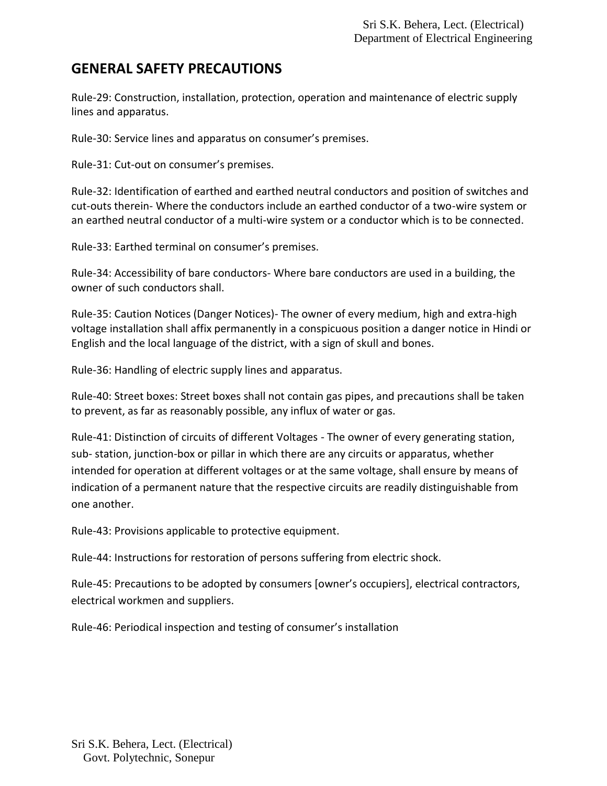#### **GENERAL SAFETY PRECAUTIONS**

Rule-29: Construction, installation, protection, operation and maintenance of electric supply lines and apparatus.

Rule-30: Service lines and apparatus on consumer's premises.

Rule-31: Cut-out on consumer's premises.

Rule-32: Identification of earthed and earthed neutral conductors and position of switches and cut-outs therein- Where the conductors include an earthed conductor of a two-wire system or an earthed neutral conductor of a multi-wire system or a conductor which is to be connected.

Rule-33: Earthed terminal on consumer's premises.

Rule-34: Accessibility of bare conductors- Where bare conductors are used in a building, the owner of such conductors shall.

Rule-35: Caution Notices (Danger Notices)- The owner of every medium, high and extra-high voltage installation shall affix permanently in a conspicuous position a danger notice in Hindi or English and the local language of the district, with a sign of skull and bones.

Rule-36: Handling of electric supply lines and apparatus.

Rule-40: Street boxes: Street boxes shall not contain gas pipes, and precautions shall be taken to prevent, as far as reasonably possible, any influx of water or gas.

Rule-41: Distinction of circuits of different Voltages - The owner of every generating station, sub- station, junction-box or pillar in which there are any circuits or apparatus, whether intended for operation at different voltages or at the same voltage, shall ensure by means of indication of a permanent nature that the respective circuits are readily distinguishable from one another.

Rule-43: Provisions applicable to protective equipment.

Rule-44: Instructions for restoration of persons suffering from electric shock.

Rule-45: Precautions to be adopted by consumers [owner's occupiers], electrical contractors, electrical workmen and suppliers.

Rule-46: Periodical inspection and testing of consumer's installation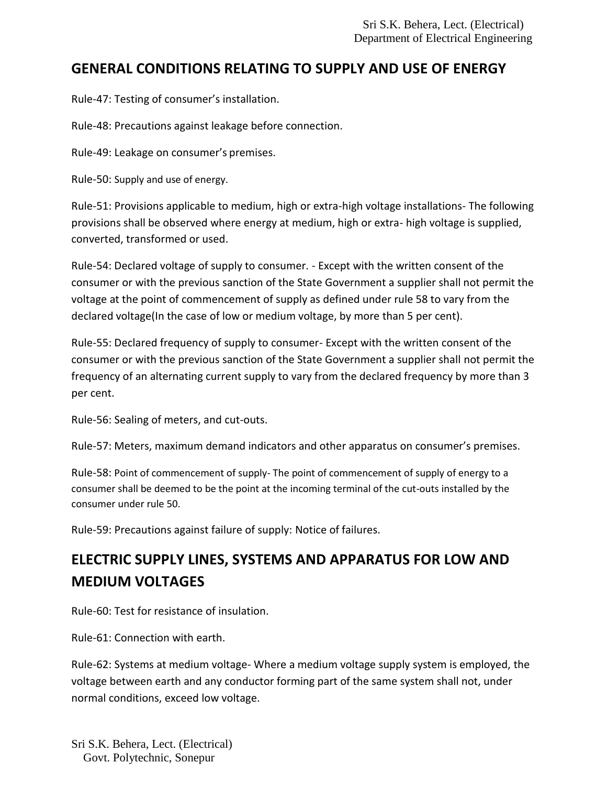### **GENERAL CONDITIONS RELATING TO SUPPLY AND USE OF ENERGY**

Rule-47: Testing of consumer's installation.

Rule-48: Precautions against leakage before connection.

Rule-49: Leakage on consumer's premises.

Rule-50: Supply and use of energy.

Rule-51: Provisions applicable to medium, high or extra-high voltage installations- The following provisions shall be observed where energy at medium, high or extra- high voltage is supplied, converted, transformed or used.

Rule-54: Declared voltage of supply to consumer. - Except with the written consent of the consumer or with the previous sanction of the State Government a supplier shall not permit the voltage at the point of commencement of supply as defined under rule 58 to vary from the declared voltage(In the case of low or medium voltage, by more than 5 per cent).

Rule-55: Declared frequency of supply to consumer- Except with the written consent of the consumer or with the previous sanction of the State Government a supplier shall not permit the frequency of an alternating current supply to vary from the declared frequency by more than 3 per cent.

Rule-56: Sealing of meters, and cut-outs.

Rule-57: Meters, maximum demand indicators and other apparatus on consumer's premises.

Rule-58: Point of commencement of supply- The point of commencement of supply of energy to a consumer shall be deemed to be the point at the incoming terminal of the cut-outs installed by the consumer under rule 50.

Rule-59: Precautions against failure of supply: Notice of failures.

## **ELECTRIC SUPPLY LINES, SYSTEMS AND APPARATUS FOR LOW AND MEDIUM VOLTAGES**

Rule-60: Test for resistance of insulation.

Rule-61: Connection with earth.

Rule-62: Systems at medium voltage- Where a medium voltage supply system is employed, the voltage between earth and any conductor forming part of the same system shall not, under normal conditions, exceed low voltage.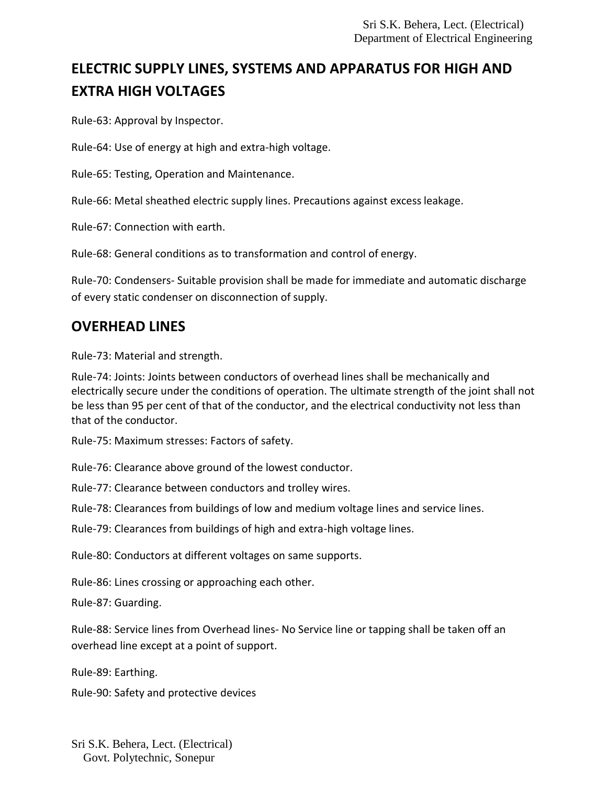# **ELECTRIC SUPPLY LINES, SYSTEMS AND APPARATUS FOR HIGH AND EXTRA HIGH VOLTAGES**

Rule-63: Approval by Inspector.

Rule-64: Use of energy at high and extra-high voltage.

Rule-65: Testing, Operation and Maintenance.

Rule-66: Metal sheathed electric supply lines. Precautions against excessleakage.

Rule-67: Connection with earth.

Rule-68: General conditions as to transformation and control of energy.

Rule-70: Condensers- Suitable provision shall be made for immediate and automatic discharge of every static condenser on disconnection of supply.

### **OVERHEAD LINES**

Rule-73: Material and strength.

Rule-74: Joints: Joints between conductors of overhead lines shall be mechanically and electrically secure under the conditions of operation. The ultimate strength of the joint shall not be less than 95 per cent of that of the conductor, and the electrical conductivity not less than that of the conductor.

Rule-75: Maximum stresses: Factors of safety.

Rule-76: Clearance above ground of the lowest conductor.

Rule-77: Clearance between conductors and trolley wires.

Rule-78: Clearances from buildings of low and medium voltage lines and service lines.

Rule-79: Clearances from buildings of high and extra-high voltage lines.

Rule-80: Conductors at different voltages on same supports.

Rule-86: Lines crossing or approaching each other.

Rule-87: Guarding.

Rule-88: Service lines from Overhead lines- No Service line or tapping shall be taken off an overhead line except at a point of support.

Rule-89: Earthing.

Rule-90: Safety and protective devices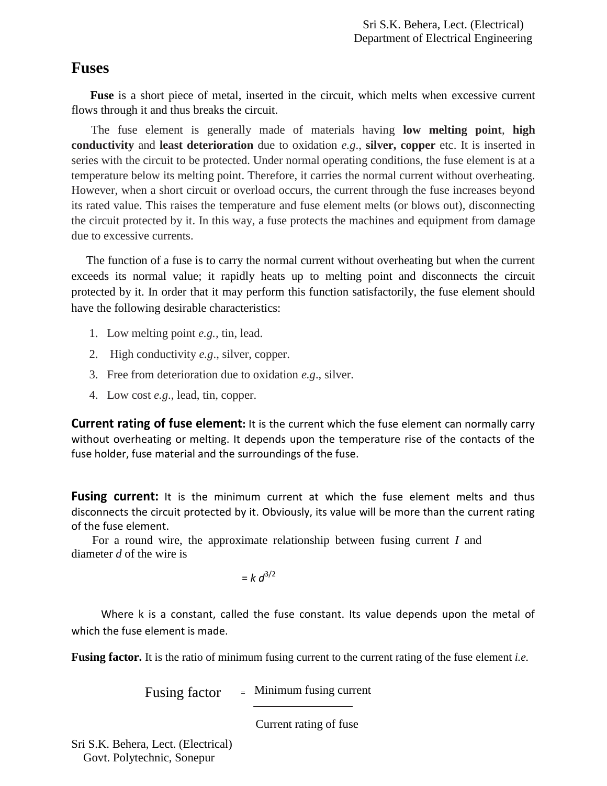#### **Fuses**

 **Fuse** is a short piece of metal, inserted in the circuit, which melts when excessive current flows through it and thus breaks the circuit.

The fuse element is generally made of materials having **low melting point**, **high conductivity** and **least deterioration** due to oxidation *e.g*., **silver, copper** etc. It is inserted in series with the circuit to be protected. Under normal operating conditions, the fuse element is at a temperature below its melting point. Therefore, it carries the normal current without overheating. However, when a short circuit or overload occurs, the current through the fuse increases beyond its rated value. This raises the temperature and fuse element melts (or blows out), disconnecting the circuit protected by it. In this way, a fuse protects the machines and equipment from damage due to excessive currents.

 The function of a fuse is to carry the normal current without overheating but when the current exceeds its normal value; it rapidly heats up to melting point and disconnects the circuit protected by it. In order that it may perform this function satisfactorily, the fuse element should have the following desirable characteristics:

- 1. Low melting point *e.g.,* tin, lead.
- 2. High conductivity *e.g*., silver, copper.
- 3. Free from deterioration due to oxidation *e.g*., silver.
- 4. Low cost *e.g*., lead, tin, copper.

**Current rating of fuse element:** It is the current which the fuse element can normally carry without overheating or melting. It depends upon the temperature rise of the contacts of the fuse holder, fuse material and the surroundings of the fuse.

**Fusing current:** It is the minimum current at which the fuse element melts and thus disconnects the circuit protected by it. Obviously, its value will be more than the current rating of the fuse element.

 For a round wire, the approximate relationship between fusing current *I* and diameter *d* of the wire is

 $= k d^{3/2}$ 

 Where k is a constant, called the fuse constant. Its value depends upon the metal of which the fuse element is made.

**Fusing factor.** It is the ratio of minimum fusing current to the current rating of the fuse element *i.e.*

Fusing factor  $=$  Minimum fusing current

Current rating of fuse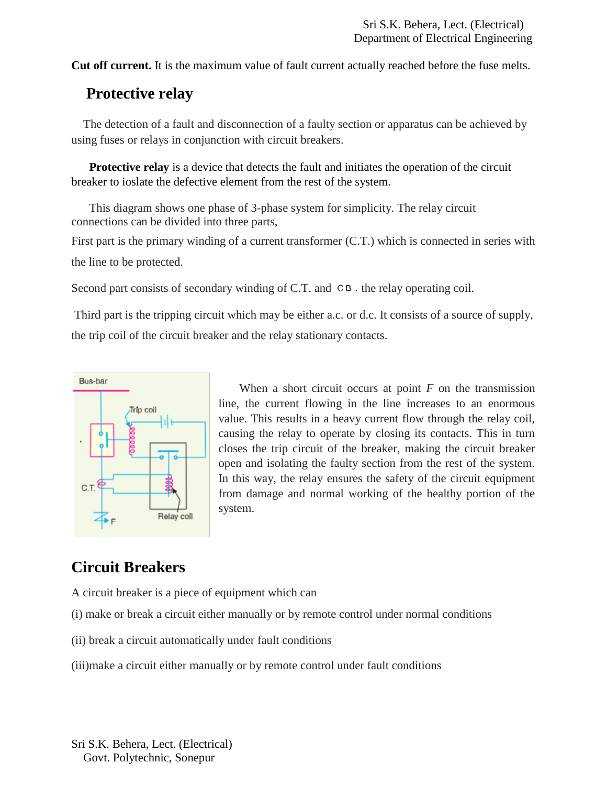**Cut off current.** It is the maximum value of fault current actually reached before the fuse melts.

## **Protective relay**

 The detection of a fault and disconnection of a faulty section or apparatus can be achieved by using fuses or relays in conjunction with circuit breakers.

**Protective relay** is a device that detects the fault and initiates the operation of the circuit breaker to ioslate the defective element from the rest of the system.

This diagram shows one phase of 3-phase system for simplicity. The relay circuit connections can be divided into three parts,

First part is the primary winding of a current transformer (C.T.) which is connected in series with the line to be protected.

Second part consists of secondary winding of C.T. and  $\subset$  B. the relay operating coil.

Third part is the tripping circuit which may be either a.c. or d.c. It consists of a source of supply, the trip coil of the circuit breaker and the relay stationary contacts.



 When a short circuit occurs at point *F* on the transmission line, the current flowing in the line increases to an enormous value. This results in a heavy current flow through the relay coil, causing the relay to operate by closing its contacts. This in turn closes the trip circuit of the breaker, making the circuit breaker open and isolating the faulty section from the rest of the system. In this way, the relay ensures the safety of the circuit equipment from damage and normal working of the healthy portion of the system.

## **Circuit Breakers**

A circuit breaker is a piece of equipment which can

- (i) make or break a circuit either manually or by remote control under normal conditions
- (ii) break a circuit automatically under fault conditions
- (iii)make a circuit either manually or by remote control under fault conditions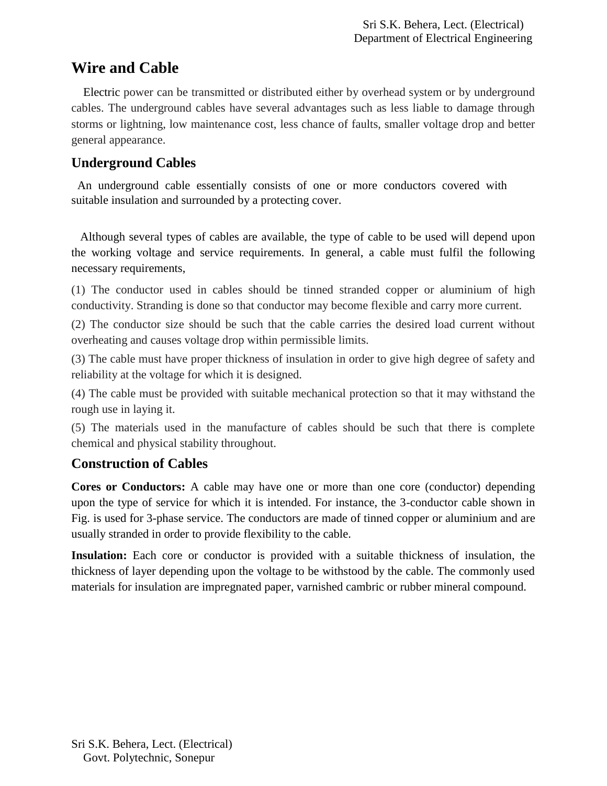## **Wire and Cable**

 Electric power can be transmitted or distributed either by overhead system or by underground cables. The underground cables have several advantages such as less liable to damage through storms or lightning, low maintenance cost, less chance of faults, smaller voltage drop and better general appearance.

#### **Underground Cables**

 An underground cable essentially consists of one or more conductors covered with suitable insulation and surrounded by a protecting cover.

 Although several types of cables are available, the type of cable to be used will depend upon the working voltage and service requirements. In general, a cable must fulfil the following necessary requirements,

(1) The conductor used in cables should be tinned stranded copper or aluminium of high conductivity. Stranding is done so that conductor may become flexible and carry more current.

(2) The conductor size should be such that the cable carries the desired load current without overheating and causes voltage drop within permissible limits.

(3) The cable must have proper thickness of insulation in order to give high degree of safety and reliability at the voltage for which it is designed.

(4) The cable must be provided with suitable mechanical protection so that it may withstand the rough use in laying it.

(5) The materials used in the manufacture of cables should be such that there is complete chemical and physical stability throughout.

#### **Construction of Cables**

**Cores or Conductors:** A cable may have one or more than one core (conductor) depending upon the type of service for which it is intended. For instance, the 3-conductor cable shown in Fig. is used for 3-phase service. The conductors are made of tinned copper or aluminium and are usually stranded in order to provide flexibility to the cable.

**Insulation:** Each core or conductor is provided with a suitable thickness of insulation, the thickness of layer depending upon the voltage to be withstood by the cable. The commonly used materials for insulation are impregnated paper, varnished cambric or rubber mineral compound.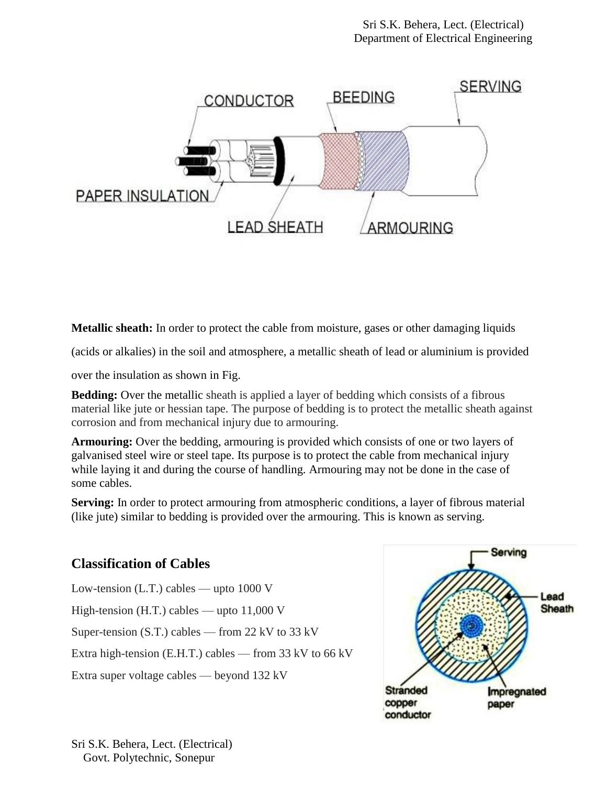

**Metallic sheath:** In order to protect the cable from moisture, gases or other damaging liquids

(acids or alkalies) in the soil and atmosphere, a metallic sheath of lead or aluminium is provided

over the insulation as shown in Fig.

**Bedding:** Over the metallic sheath is applied a layer of bedding which consists of a fibrous material like jute or hessian tape. The purpose of bedding is to protect the metallic sheath against corrosion and from mechanical injury due to armouring.

**Armouring:** Over the bedding, armouring is provided which consists of one or two layers of galvanised steel wire or steel tape. Its purpose is to protect the cable from mechanical injury while laying it and during the course of handling. Armouring may not be done in the case of some cables.

**Serving:** In order to protect armouring from atmospheric conditions, a layer of fibrous material (like jute) similar to bedding is provided over the armouring. This is known as serving.

#### **Classification of Cables**

Low-tension (L.T.) cables — upto 1000 V High-tension (H.T.) cables — upto 11,000 V Super-tension (S.T.) cables — from 22 kV to 33 kV Extra high-tension (E.H.T.) cables — from 33 kV to 66 kV Extra super voltage cables — beyond 132 kV